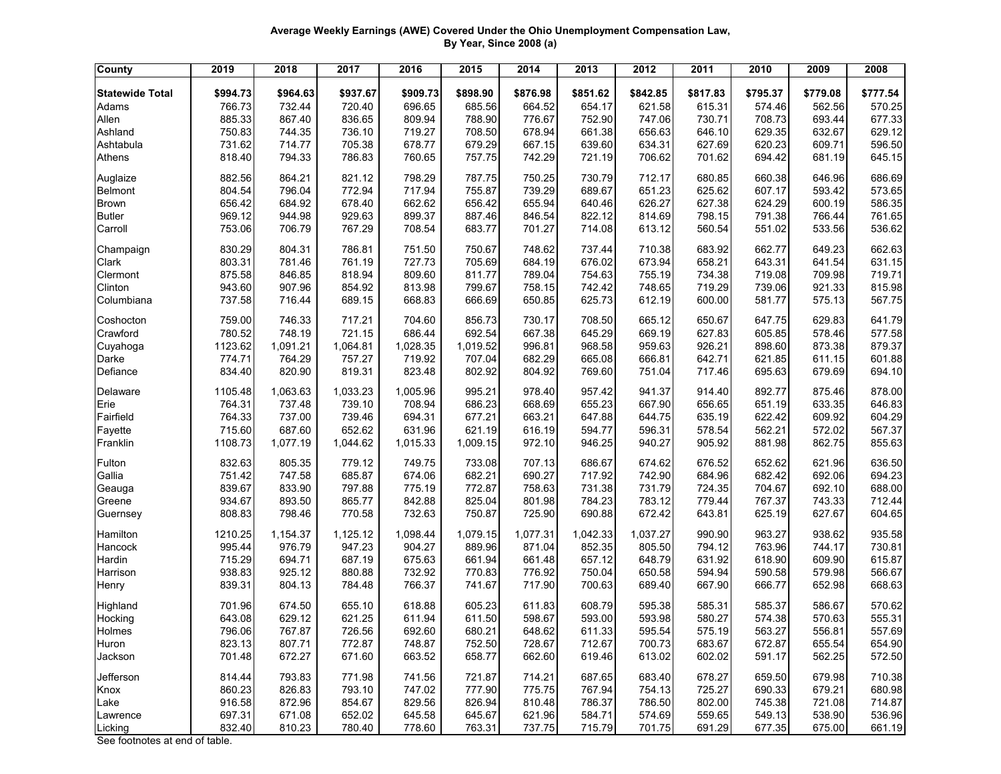## **Average Weekly Earnings (AWE) Covered Under the Ohio Unemployment Compensation Law, By Year, Since 2008 (a)**

| <b>County</b>                  | 2019     | 2018     | 2017     | 2016     | 2015     | 2014     | 2013     | 2012     | 2011     | 2010     | 2009     | 2008     |
|--------------------------------|----------|----------|----------|----------|----------|----------|----------|----------|----------|----------|----------|----------|
| <b>Statewide Total</b>         | \$994.73 | \$964.63 | \$937.67 | \$909.73 | \$898.90 | \$876.98 | \$851.62 | \$842.85 | \$817.83 | \$795.37 | \$779.08 | \$777.54 |
| Adams                          | 766.73   | 732.44   | 720.40   | 696.65   | 685.56   | 664.52   | 654.17   | 621.58   | 615.31   | 574.46   | 562.56   | 570.25   |
| Allen                          | 885.33   | 867.40   | 836.65   | 809.94   | 788.90   | 776.67   | 752.90   | 747.06   | 730.71   | 708.73   | 693.44   | 677.33   |
| Ashland                        | 750.83   | 744.35   | 736.10   | 719.27   | 708.50   | 678.94   | 661.38   | 656.63   | 646.10   | 629.35   | 632.67   | 629.12   |
| Ashtabula                      | 731.62   | 714.77   | 705.38   | 678.77   | 679.29   | 667.15   | 639.60   | 634.31   | 627.69   | 620.23   | 609.71   | 596.50   |
| Athens                         | 818.40   | 794.33   | 786.83   | 760.65   | 757.75   | 742.29   | 721.19   | 706.62   | 701.62   | 694.42   | 681.19   | 645.15   |
| Auglaize                       | 882.56   | 864.21   | 821.12   | 798.29   | 787.75   | 750.25   | 730.79   | 712.17   | 680.85   | 660.38   | 646.96   | 686.69   |
| Belmont                        | 804.54   | 796.04   | 772.94   | 717.94   | 755.87   | 739.29   | 689.67   | 651.23   | 625.62   | 607.17   | 593.42   | 573.65   |
| <b>Brown</b>                   | 656.42   | 684.92   | 678.40   | 662.62   | 656.42   | 655.94   | 640.46   | 626.27   | 627.38   | 624.29   | 600.19   | 586.35   |
| <b>Butler</b>                  | 969.12   | 944.98   | 929.63   | 899.37   | 887.46   | 846.54   | 822.12   | 814.69   | 798.15   | 791.38   | 766.44   | 761.65   |
| Carroll                        | 753.06   | 706.79   | 767.29   | 708.54   | 683.77   | 701.27   | 714.08   | 613.12   | 560.54   | 551.02   | 533.56   | 536.62   |
| Champaign                      | 830.29   | 804.31   | 786.81   | 751.50   | 750.67   | 748.62   | 737.44   | 710.38   | 683.92   | 662.77   | 649.23   | 662.63   |
| Clark                          | 803.31   | 781.46   | 761.19   | 727.73   | 705.69   | 684.19   | 676.02   | 673.94   | 658.21   | 643.31   | 641.54   | 631.15   |
| Clermont                       | 875.58   | 846.85   | 818.94   | 809.60   | 811.77   | 789.04   | 754.63   | 755.19   | 734.38   | 719.08   | 709.98   | 719.71   |
| Clinton                        | 943.60   | 907.96   | 854.92   | 813.98   | 799.67   | 758.15   | 742.42   | 748.65   | 719.29   | 739.06   | 921.33   | 815.98   |
| Columbiana                     | 737.58   | 716.44   | 689.15   | 668.83   | 666.69   | 650.85   | 625.73   | 612.19   | 600.00   | 581.77   | 575.13   | 567.75   |
| Coshocton                      | 759.00   | 746.33   | 717.21   | 704.60   | 856.73   | 730.17   | 708.50   | 665.12   | 650.67   | 647.75   | 629.83   | 641.79   |
| Crawford                       | 780.52   | 748.19   | 721.15   | 686.44   | 692.54   | 667.38   | 645.29   | 669.19   | 627.83   | 605.85   | 578.46   | 577.58   |
| Cuyahoga                       | 1123.62  | 1,091.21 | 1,064.81 | 1,028.35 | 1,019.52 | 996.81   | 968.58   | 959.63   | 926.21   | 898.60   | 873.38   | 879.37   |
| Darke                          | 774.71   | 764.29   | 757.27   | 719.92   | 707.04   | 682.29   | 665.08   | 666.81   | 642.71   | 621.85   | 611.15   | 601.88   |
| Defiance                       | 834.40   | 820.90   | 819.31   | 823.48   | 802.92   | 804.92   | 769.60   | 751.04   | 717.46   | 695.63   | 679.69   | 694.10   |
| Delaware                       | 1105.48  | 1,063.63 | 1,033.23 | 1,005.96 | 995.21   | 978.40   | 957.42   | 941.37   | 914.40   | 892.77   | 875.46   | 878.00   |
| Erie                           | 764.31   | 737.48   | 739.10   | 708.94   | 686.23   | 668.69   | 655.23   | 667.90   | 656.65   | 651.19   | 633.35   | 646.83   |
| Fairfield                      | 764.33   | 737.00   | 739.46   | 694.31   | 677.21   | 663.21   | 647.88   | 644.75   | 635.19   | 622.42   | 609.92   | 604.29   |
| Fayette                        | 715.60   | 687.60   | 652.62   | 631.96   | 621.19   | 616.19   | 594.77   | 596.31   | 578.54   | 562.21   | 572.02   | 567.37   |
| Franklin                       | 1108.73  | 1,077.19 | 1,044.62 | 1,015.33 | 1,009.15 | 972.10   | 946.25   | 940.27   | 905.92   | 881.98   | 862.75   | 855.63   |
| Fulton                         | 832.63   | 805.35   | 779.12   | 749.75   | 733.08   | 707.13   | 686.67   | 674.62   | 676.52   | 652.62   | 621.96   | 636.50   |
| Gallia                         | 751.42   | 747.58   | 685.87   | 674.06   | 682.21   | 690.27   | 717.92   | 742.90   | 684.96   | 682.42   | 692.06   | 694.23   |
| Geauga                         | 839.67   | 833.90   | 797.88   | 775.19   | 772.87   | 758.63   | 731.38   | 731.79   | 724.35   | 704.67   | 692.10   | 688.00   |
| Greene                         | 934.67   | 893.50   | 865.77   | 842.88   | 825.04   | 801.98   | 784.23   | 783.12   | 779.44   | 767.37   | 743.33   | 712.44   |
| Guernsey                       | 808.83   | 798.46   | 770.58   | 732.63   | 750.87   | 725.90   | 690.88   | 672.42   | 643.81   | 625.19   | 627.67   | 604.65   |
| Hamilton                       | 1210.25  | 1,154.37 | 1,125.12 | 1,098.44 | 1,079.15 | 1,077.31 | 1,042.33 | 1,037.27 | 990.90   | 963.27   | 938.62   | 935.58   |
| Hancock                        | 995.44   | 976.79   | 947.23   | 904.27   | 889.96   | 871.04   | 852.35   | 805.50   | 794.12   | 763.96   | 744.17   | 730.81   |
| Hardin                         | 715.29   | 694.71   | 687.19   | 675.63   | 661.94   | 661.48   | 657.12   | 648.79   | 631.92   | 618.90   | 609.90   | 615.87   |
| Harrison                       | 938.83   | 925.12   | 880.88   | 732.92   | 770.83   | 776.92   | 750.04   | 650.58   | 594.94   | 590.58   | 579.98   | 566.67   |
| Henry                          | 839.31   | 804.13   | 784.48   | 766.37   | 741.67   | 717.90   | 700.63   | 689.40   | 667.90   | 666.77   | 652.98   | 668.63   |
| Highland                       | 701.96   | 674.50   | 655.10   | 618.88   | 605.23   | 611.83   | 608.79   | 595.38   | 585.31   | 585.37   | 586.67   | 570.62   |
| Hocking                        | 643.08   | 629.12   | 621.25   | 611.94   | 611.50   | 598.67   | 593.00   | 593.98   | 580.27   | 574.38   | 570.63   | 555.31   |
| Holmes                         | 796.06   | 767.87   | 726.56   | 692.60   | 680.21   | 648.62   | 611.33   | 595.54   | 575.19   | 563.27   | 556.81   | 557.69   |
| Huron                          | 823.13   | 807.71   | 772.87   | 748.87   | 752.50   | 728.67   | 712.67   | 700.73   | 683.67   | 672.87   | 655.54   | 654.90   |
| Jackson                        | 701.48   | 672.27   | 671.60   | 663.52   | 658.77   | 662.60   | 619.46   | 613.02   | 602.02   | 591.17   | 562.25   | 572.50   |
| Jefferson                      | 814.44   | 793.83   | 771.98   | 741.56   | 721.87   | 714.21   | 687.65   | 683.40   | 678.27   | 659.50   | 679.98   | 710.38   |
| Knox                           | 860.23   | 826.83   | 793.10   | 747.02   | 777.90   | 775.75   | 767.94   | 754.13   | 725.27   | 690.33   | 679.21   | 680.98   |
| Lake                           | 916.58   | 872.96   | 854.67   | 829.56   | 826.94   | 810.48   | 786.37   | 786.50   | 802.00   | 745.38   | 721.08   | 714.87   |
| Lawrence                       | 697.31   | 671.08   | 652.02   | 645.58   | 645.67   | 621.96   | 584.71   | 574.69   | 559.65   | 549.13   | 538.90   | 536.96   |
| Licking                        | 832.40   | 810.23   | 780.40   | 778.60   | 763.31   | 737.75   | 715.79   | 701.75   | 691.29   | 677.35   | 675.00   | 661.19   |
| See footnotes at end of table. |          |          |          |          |          |          |          |          |          |          |          |          |